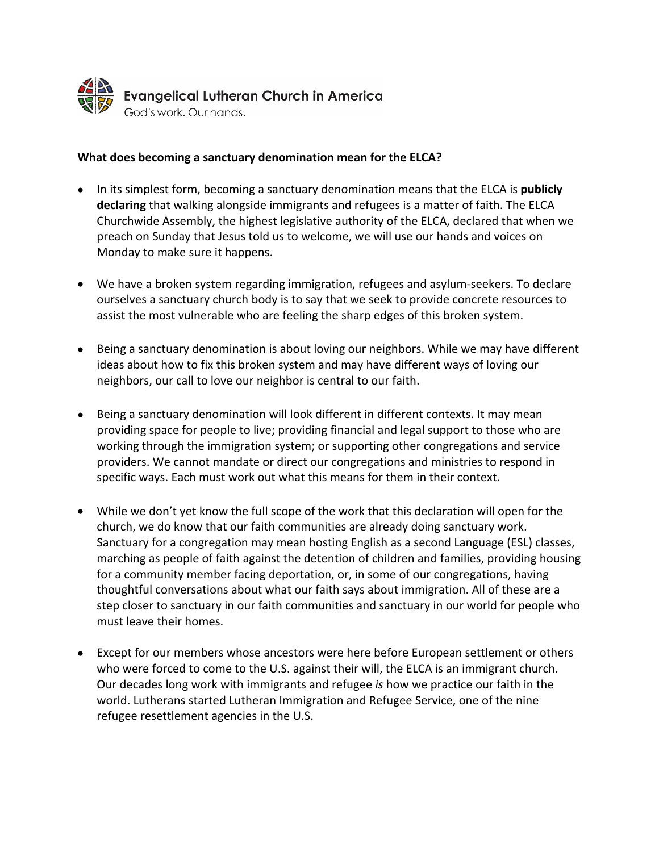

## **What does becoming a sanctuary denomination mean for the ELCA?**

- In its simplest form, becoming a sanctuary denomination means that the ELCA is **publicly declaring** that walking alongside immigrants and refugees is a matter of faith. The ELCA Churchwide Assembly, the highest legislative authority of the ELCA, declared that when we preach on Sunday that Jesus told us to welcome, we will use our hands and voices on Monday to make sure it happens.
- We have a broken system regarding immigration, refugees and asylum-seekers. To declare ourselves a sanctuary church body is to say that we seek to provide concrete resources to assist the most vulnerable who are feeling the sharp edges of this broken system.
- Being a sanctuary denomination is about loving our neighbors. While we may have different ideas about how to fix this broken system and may have different ways of loving our neighbors, our call to love our neighbor is central to our faith.
- Being a sanctuary denomination will look different in different contexts. It may mean providing space for people to live; providing financial and legal support to those who are working through the immigration system; or supporting other congregations and service providers. We cannot mandate or direct our congregations and ministries to respond in specific ways. Each must work out what this means for them in their context.
- While we don't yet know the full scope of the work that this declaration will open for the church, we do know that our faith communities are already doing sanctuary work. Sanctuary for a congregation may mean hosting English as a second Language (ESL) classes, marching as people of faith against the detention of children and families, providing housing for a community member facing deportation, or, in some of our congregations, having thoughtful conversations about what our faith says about immigration. All of these are a step closer to sanctuary in our faith communities and sanctuary in our world for people who must leave their homes.
- Except for our members whose ancestors were here before European settlement or others who were forced to come to the U.S. against their will, the ELCA is an immigrant church. Our decades long work with immigrants and refugee *is* how we practice our faith in the world. Lutherans started Lutheran Immigration and Refugee Service, one of the nine refugee resettlement agencies in the U.S.